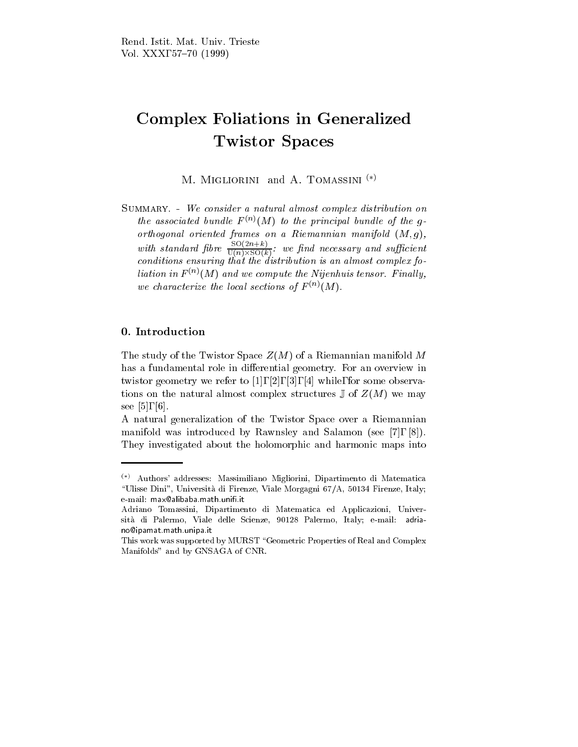# Complex Foliations in Generalized Twistor Spaces

M. MIGLIORINI and A. TOMASSINI $(*)$ 

Summary. - We consider a natural almost complex distribution on the associated bundle  $F^{(n)}(M)$  to the principal bundle of the qorthogonal oriented frames on a Riemannian manifold (M; g), with standard fibre  $\frac{1}{\Gamma(\sigma) \cup \Gamma(\sigma)}$ : w  $U(n)\times SU(k)$  is we such that  $U(n)\times SU(k)$ conditions ensuring that the distribution is an almost complex foliation in  $F^{(n)}(M)$  and we compute the Nijenhuis tensor. Finally, we characterize the local sections of  $F^{(n)}(M)$ .

## 0. Introduction

The study of the Twistor Space  $Z(M)$  of a Riemannian manifold M has a fundamental role in differential geometry. For an overview in twistor geometry we refer to [1], [2], [3], [4] while, for some observations on the natural almost complex structures  $\mathbb{J}$  of  $Z(M)$  we may see [5], [6].

A natural generalization of the Twistor Space over a Riemannian manifold was introduced by Rawnsley and Salamon (see [7], [8]). They investigated about the holomorphic and harmonic maps into

 $\lambda^{(*)}$  Authors' addresses: Massimiliano Migliorini, Dipartimento di Matematica \Ulisse Dini", Universita di Firenze, Viale Morgagni 67/A, 50134 Firenze, Italy; e-mail: max@alibaba.math.unifi.it

Adriano Tomassini, Dipartimento di Matematica ed Applicazioni, Univer sita di Palermo, Viale delle Scienze, 90128 Palermo, Italy; e-mail: adriano@ipamat.math.unipa.it

This work was supported by MURST "Geometric Properties of Real and Complex Manifolds" and by GNSAGA of CNR.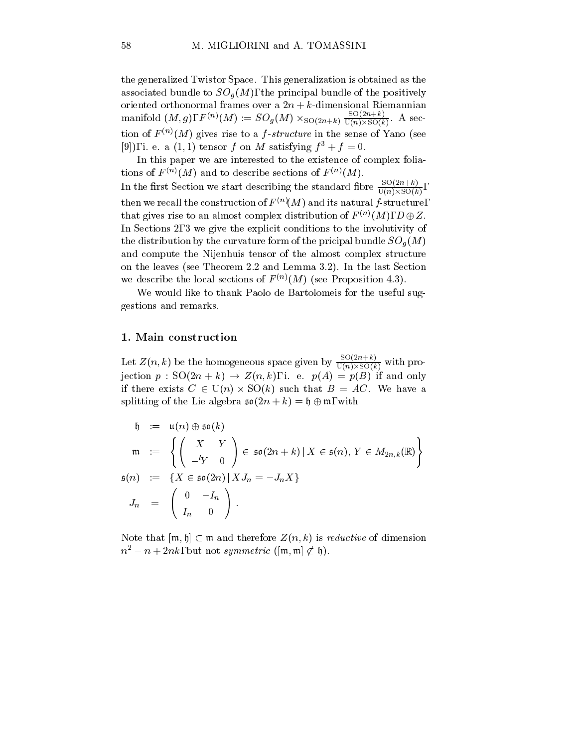the generalized Twistor Space. This generalization is obtained as the associated bundle to SOG (M), the principal bundle of the positive principal bundle  $\rho$ oriented orthonormal frames over a  $2n + k$ -dimensional Riemannian manifold  $(M, g)$ ,  $F^{(n)}(M) := SO_g(M) \times_{SO(2n+k)} \frac{1}{\mathrm{U}(n) \times SO(k)}$ . A section of  $F^{(n)}(M)$  gives rise to a f-structure in the sense of Yano (see [9]), i. e. a (1, 1) tensor f on M satisfying  $f^3 + f = 0$ .

In this paper we are interested to the existence of complex foliations of  $F^{(n)}(M)$  and to describe sections of  $F^{(n)}(M)$ . In the first Section we start describing the standard fibre  $\frac{1}{U(n)\times SO(k)},$ then we recall the construction of  $F^{(n)}(M)$  and its natural f-structure, that gives rise to an almost complex distribution of  $F^{(n)}(M)$ ,  $D \oplus Z$ . In Sections 2, 3 we give the explicit conditions to the involutivity of the distribution by the curvature form of the pricipal bundle  $\mathbf{M}$  of the pricipal bundle  $\mathbf{M}$ and compute the Nijenhuis tensor of the almost complex structure on the leaves (see Theorem 2.2 and Lemma 3.2). In the last Section we describe the local sections of  $F^{(n)}(M)$  (see Proposition 4.3).

We would like to thank Paolo de Bartolomeis for the useful suggestions and remarks.

### 1. Main construction

Let  $Z(n, k)$  be the homogeneous space given by  $\frac{1}{116}$ ,  $\frac{1}{160}$ ,  $\frac{1}{160}$ , with  $U(n) \times SU(k)$  r jection  $p : SO(2n + k) \rightarrow Z(n, k)$ , i. e.  $p(A) = p(B)$  if and only if there exists  $C \in U(n) \times SO(k)$  such that  $B = AC$ . We have a splitting of the Lie algebra  $\mathfrak{so}(2n + k) = \mathfrak{h} \oplus \mathfrak{m}$ , with

$$
h := u(n) \oplus \mathfrak{so}(k)
$$
  
\n
$$
m := \left\{ \begin{pmatrix} X & Y \\ -Y & 0 \end{pmatrix} \in \mathfrak{so}(2n+k) \mid X \in \mathfrak{s}(n), Y \in M_{2n,k}(\mathbb{R}) \right\}
$$
  
\n
$$
\mathfrak{s}(n) := \left\{ X \in \mathfrak{so}(2n) \mid X J_n = -J_n X \right\}
$$
  
\n
$$
J_n = \begin{pmatrix} 0 & -I_n \\ I_n & 0 \end{pmatrix}.
$$

Note that  $[\mathfrak{m}, \mathfrak{h}] \subset \mathfrak{m}$  and therefore  $Z(n, k)$  is *reductive* of dimension  $n^2 - n + 2nk$ , but not symmetric ([m, m]  $\not\subset \mathfrak{h}$ ).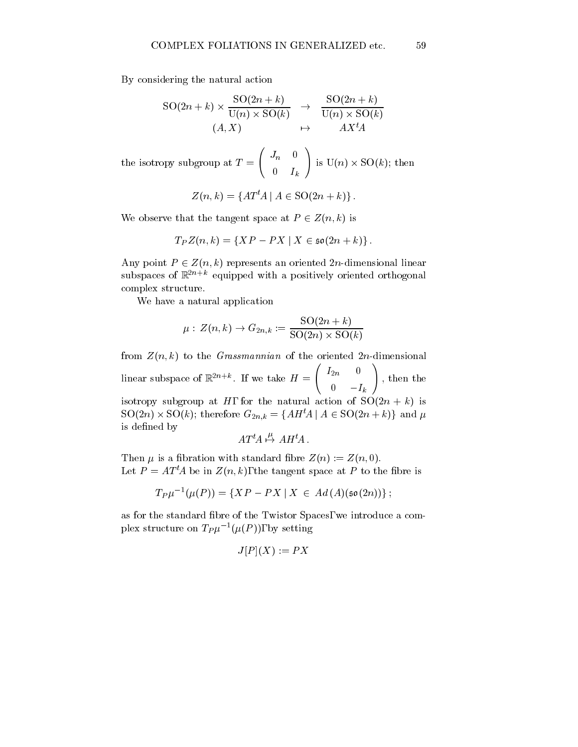By considering the natural action

$$
SO(2n+k) \times \frac{SO(2n+k)}{U(n) \times SO(k)} \rightarrow \frac{SO(2n+k)}{U(n) \times SO(k)}
$$
  
(A, X)  $\rightarrow$  A X<sup>t</sup>A

the isotropy subgroup at  $T = \begin{pmatrix} J_n & 0 \end{pmatrix}$  is U  $\begin{pmatrix} J_n & 0 \ 0 & I_k \end{pmatrix} \text{ is } \mathrm{U}(n) \times \mathrm{SC}$ is  $\mathrm{U}(n)\times \mathrm{SO}(k)$ ; then

$$
Z(n,k) = \{AT^t A \mid A \in \text{SO}(2n+k)\}.
$$

We observe that the tangent space at  $P \in Z(n, k)$  is

$$
T_P Z(n,k) = \{XP - PX \mid X \in \mathfrak{so}(2n+k)\}.
$$

Any point  $P \in Z(n,k)$  represents an oriented 2n-dimensional linear subspaces of  $\mathbb{R}^{2n+k}$  equipped with a positively oriented orthogonal complex structure.

We have a natural application

$$
\mu: Z(n,k) \to G_{2n,k} := \frac{\mathrm{SO}(2n+k)}{\mathrm{SO}(2n) \times \mathrm{SO}(k)}
$$

from  $Z(n, k)$  to the *Grassmannian* of the oriented 2n-dimensional linear subspace of  $\mathbb{R}^{2n+k}$ . If we take  $H = \left(\begin{array}{cc} I_{2n} & 0 \end{array}\right)$ , then  $\begin{pmatrix} 2n & 0 \ 0 & -I_k \end{pmatrix}$ , then the isotropy subgroup at H, for the natural action of  $SO(2n + k)$  is  $\mathrm{SO}(2n)\times \mathrm{SO}(k);$  therefore  $G_{2n,k}=\{AH^t\!A\mid A\in \mathrm{SO}(2n+k)\}$  and  $\mu$ is defined by  $\overline{u}$   $\overline{u}$   $\overline{u}$ 

$$
AT^t\!A \stackrel{\mu}{\mapsto} AH^t\!A\,.
$$

Then  $\mu$  is a fibration with standard fibre  $Z(n) := Z(n, 0)$ . Let  $P = AT^tA$  be in  $Z(n, k)$ , the tangent space at P to the fibre is

$$
T_P\mu^{-1}(\mu(P)) = \{XP-PX \mid X \in Ad(A)(\mathfrak{so}(2n))\}\,;
$$

as for the standard bre of the Twistor Spaces, we introduce a complex structure on  $I_{\mu}$  ( $\mu$ ( $I'$ )), by setting

$$
J[P](X) := PX
$$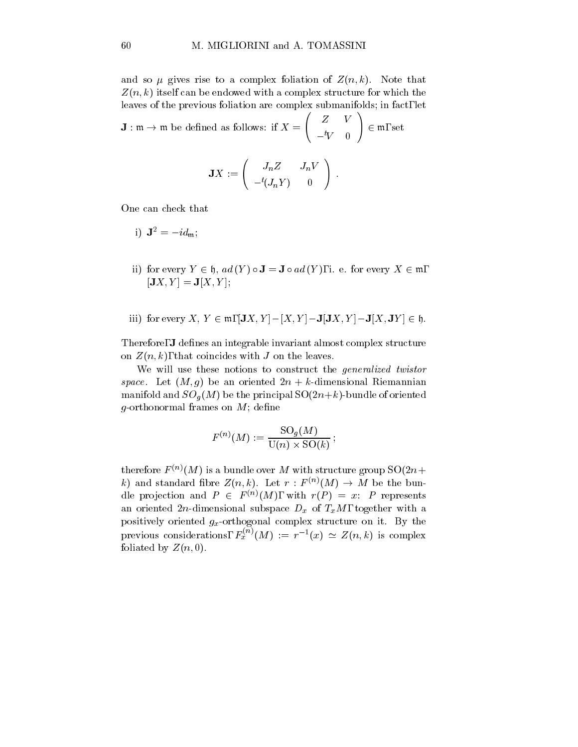and so  $\mu$  gives rise to a complex foliation of  $Z(n, k)$ . Note that  $Z(n, k)$  itself can be endowed with a complex structure for which the leaves of the previous foliation are complex submanifolds; in fact, let

 $\mathbf{J}: \mathfrak{m} \to \mathfrak{m}$  be defined as follows: if  $X = \left(\begin{array}{cc} Z & V \end{array}\right)$  (  $\overline{\phantom{a}}$  and  $\overline{\phantom{a}}$  and  $\overline{\phantom{a}}$  and  $\overline{\phantom{a}}$  and  $\overline{\phantom{a}}$  and  $\overline{\phantom{a}}$  and  $\overline{\phantom{a}}$  and  $\overline{\phantom{a}}$  and  $\overline{\phantom{a}}$  and  $\overline{\phantom{a}}$  and  $\overline{\phantom{a}}$  and  $\overline{\phantom{a}}$  and  $\overline{\phantom{a}}$  and  $\overline{\phantom{a}}$  a  $\begin{pmatrix} Z & V \ -{}^t\!V & 0 \end{pmatrix} \in \mathfrak{m}, \text{ set}$  $\in \mathfrak{m}$ , set

$$
\mathbf{J} X := \left(\begin{array}{cc}J_n Z & J_n V \\ -{}^t\! (J_n Y) & 0\end{array}\right)\,.
$$

One can check that

$$
\mathrm{i)}\;\;\mathbf{J}^{2}=-id_{\mathfrak{m}};
$$

- ii) for every  $Y \in \mathfrak{h}$ ,  $ad(Y) \circ J = J \circ ad(Y)$ , i. e. for every  $X \in \mathfrak{m}$ ,  $[JX, Y] = J[X, Y];$
- iii) for every X,  $Y \in \mathfrak{m}$ ,  $|\mathbf{J}X, Y| |X, Y| \mathbf{J}|\mathbf{J}X, Y| \mathbf{J}[X, \mathbf{J}Y] \in \mathfrak{h}$ .

Therefore, **J** defines an integrable invariant almost complex structure on  $Z(n, k)$ , that coincides with J on the leaves.

We will use these notions to construct the generalized twistor space. Let  $(M, g)$  be an oriented  $2n + k$ -dimensional Riemannian manifold and SOG (M) be the principal SO(2n+k)-bundle of oriented of oriented oriented of  $\alpha$ g-orthonormal frames on  $M$ ; define

$$
F^{(n)}(M):=\frac{\mathrm{SO}_g(M)}{\mathrm{U}(n)\times \mathrm{SO}(k)}\,;
$$

therefore  $F^{(n)}(M)$  is a bundle over M with structure group  $SO(2n +$ k) and standard fibre  $Z(n,k)$ . Let  $r: F^{(n)}(M) \to M$  be the bundle projection and  $P \in F^{(n)}(M)$ , with  $r(P) = x$ : P represents and oriented 2n-dimensional subspace Data  $\mu$  of TxM, to  $\mu$  of TxM, together with an positively oriented  $g_x$ -orthogonal complex structure on it. By the previous considerations,  $F_x^{(n)}(M) := r^{-1}(x) \simeq Z(n,k)$  is complex foliated by  $Z(n, 0)$ .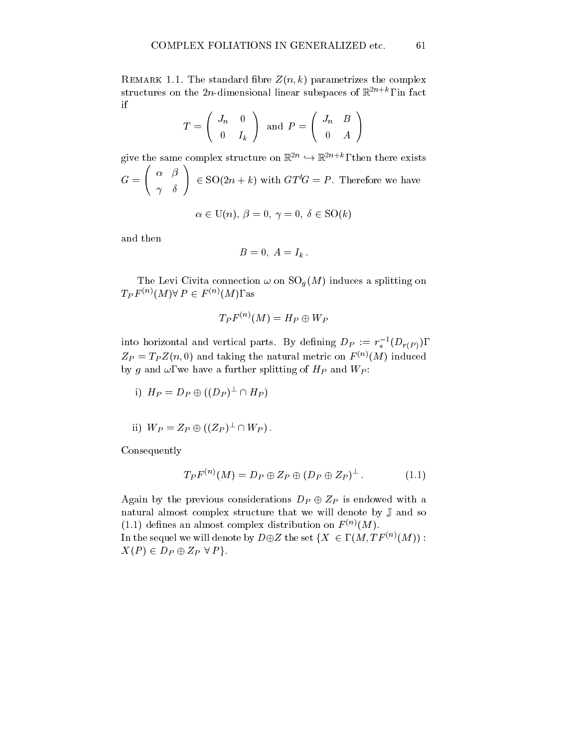REMARK 1.1. The standard fibre  $Z(n, k)$  parametrizes the complex structures on the  $2n$ -dimensional linear subspaces of  $\mathbb{R}^{n+1}$  , in fact if

$$
T = \left(\begin{array}{cc} J_n & 0 \\ 0 & I_k \end{array}\right) \text{ and } P = \left(\begin{array}{cc} J_n & B \\ 0 & A \end{array}\right)
$$

give the same complex structure on  $\mathbb{R}^{2n} \hookrightarrow \mathbb{R}^{2n+n}$ , then there exists  $G = \begin{pmatrix} \alpha & \beta \\ \end{pmatrix} \in SO$  $\begin{pmatrix} \alpha & \beta \\ \gamma & \delta \end{pmatrix} \in \mathrm{SO}(2n+k)$  $\in$  SO(2n + k) with  $GT'G = P$ . Therefore we have

$$
\alpha \in \mathrm{U}(n),\ \beta=0,\ \gamma=0,\ \delta \in \mathrm{SO}(k)
$$

and then

$$
B=0,\ A=I_k.
$$

The Levi Civita connection is connected as splitting on Sog (M) induces a splitting on SO  $\alpha$  $T_P F^{(n)}(M) \forall P \in F^{(n)}(M)$ , as

$$
T_P F^{(n)}(M) = H_P \oplus W_P
$$

into norizontal and vertical parts. By defining  $D_P := r_*^{-1}(D_r(p)),$  $Z_P = I_P Z(n,0)$  and taking the natural metric on  $F^{(n)}(M)$  induced by g and it , we does a function splitting of HP and WP  $\alpha$  is and WP  $\alpha$ 

i)  $H_P = D_P \oplus ((D_P)^{\perp} \cap H_P)$ 

ii) 
$$
W_P = Z_P \oplus ((Z_P)^{\perp} \cap W_P).
$$

Consequently

$$
T_P F^{(n)}(M) = D_P \oplus Z_P \oplus (D_P \oplus Z_P)^{\perp}.
$$
 (1.1)

Again by the previous considerations  $D_P \oplus Z_P$  is endowed with a natural almost complex structure that we will denote by <sup>J</sup> and so (1.1) defines an almost complex distribution on  $F^{(n)}(M)$ . In the sequel we will denote by  $D \oplus Z$  the set  $\{X \in \mathcal{M}, TF^{(n)}(M)\}$ :  $X(P) \in D_P \oplus Z_P \forall P$ .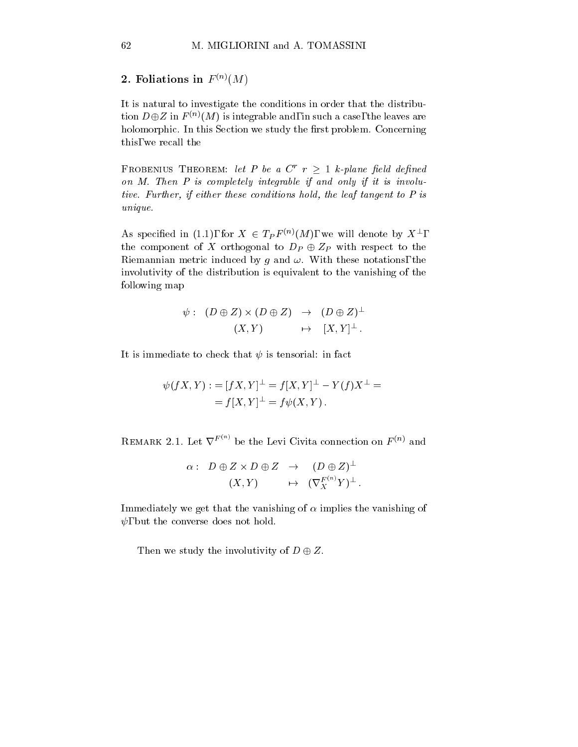2. Foliations in  $F^{(n)}(M)$ 

It is natural to investigate the conditions in order that the distribution  $D \oplus Z$  in  $F^{(n)}(M)$  is integrable and, in such a case, the leaves are holomorphic. In this Section we study the first problem. Concerning this, we recall the

FROBENIUS THEOREM: let P be a  $C^r$   $r \geq 1$  k-plane field defined on  $M$ . Then  $P$  is completely integrable if and only if it is involutive. Further, if either these conditions hold, the leaf tangent to P is unique.

As specified in (1.1), for  $X \in T_P F^{(n)}(M)$ , we will denote by  $X^{\perp}$ , the component of X orthogonal to  $D_P \oplus Z_P$  with respect to the Riemannian metric induced by g and  $\omega$ . With these notations, the involutivity of the distribution is equivalent to the vanishing of the following map

$$
\psi: (D \oplus Z) \times (D \oplus Z) \rightarrow (D \oplus Z)^{\perp}
$$
  

$$
(X,Y) \leftrightarrow [X,Y]^{\perp}.
$$

It is immediate to check that  $\psi$  is tensorial: in fact

$$
\psi(fX, Y) := [fX, Y]^{\perp} = f[X, Y]^{\perp} - Y(f)X^{\perp} = = f[X, Y]^{\perp} = f\psi(X, Y).
$$

REMARK 2.1. Let  $\nabla^{F^{(n)}}$  be the Levi Civita connection on  $F^{(n)}$  and

$$
\begin{array}{cccc} \alpha :& D\oplus Z\times D\oplus Z&\to&(D\oplus Z)^{\perp}\\ & (X,Y)&\mapsto&(\nabla^{F^{(n)}}_XY)^{\perp}\,. \end{array}
$$

Immediately we get that the vanishing of  $\alpha$  implies the vanishing of  $\psi$ , but the converse does not hold.

Then we study the involutivity of  $D \oplus Z$ .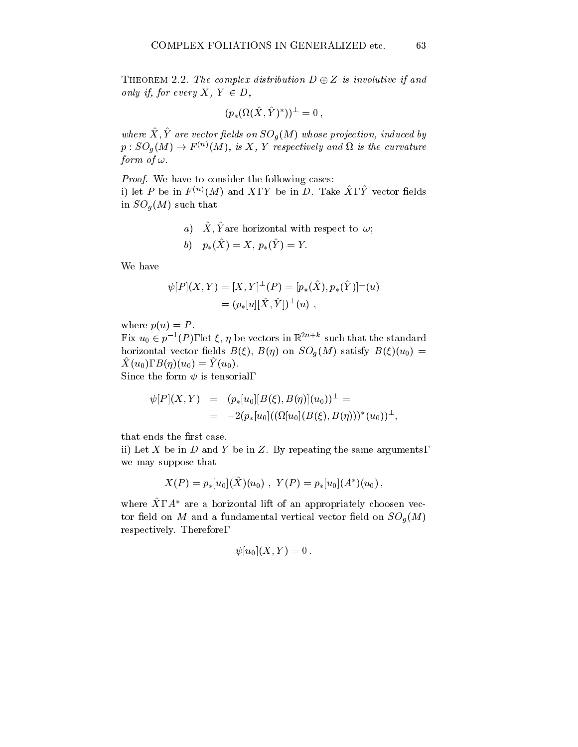THEOREM 2.2. The complex distribution  $D \oplus Z$  is involutive if and only if, for every  $X, Y \in D$ ,

$$
(p_*(\Omega(\hat{X},\hat{Y})^*))^\perp=0\,,
$$

where  $\Lambda, I$  are vector fields on  $\overline{SO_q(M)}$  whose projection, induced by  $p:SO_q(M)\to F^{(n)}(M),$  is  $X, Y$  respectively and  $\Omega$  is the curvature form of  $\omega$ .

Proof. We have to consider the following cases: i) let P be in  $F^{\text{ev}}(M)$  and  $\Lambda$ , Y be in  $D$ . Take  $\Lambda$ , Y vector fields in Sog (M) such that  $\mathbf{u} \in \mathbb{R}$  such that  $\mathbf{u} \in \mathbb{R}$  such that  $\mathbf{u} \in \mathbb{R}$  such that  $\mathbf{u} \in \mathbb{R}$ 

 $a_1 \, \Delta$ ,  $I$  are horizontal with respect to  $\omega$ ,

b) 
$$
p_*(\hat{X}) = X, p_*(\hat{Y}) = Y.
$$

We have

$$
\psi[P](X,Y) = [X,Y]^\perp(P) = [p_*(\hat{X}), p_*(\hat{Y})]^\perp(u)
$$
  
=  $(p_*[u][\hat{X}, \hat{Y}])^\perp(u)$ ,

where  $p(u) = P$ .

Fix  $u_0 \in p^{-1}(P)$ , let  $\xi, \eta$  be vectors in  $\mathbb{R}^{2n+\kappa}$  such that the standard  $\mathbf{N}^{(1)}$  on  $\mathbf{N}^{(2)}$  on B() on SOG (M) satisfy B()(u) satisfy B()(u)(u) =  $\mathbf{N}^{(1)}$  $\hat{X} (u_0), B(\eta)(u_0) = \hat{Y} (u_0).$ 

Since the form  $\psi$  is tensorial,

$$
\psi[P](X,Y) = (p_*[u_0][B(\xi), B(\eta)](u_0))^{\perp} = \n= -2(p_*[u_0]((\Omega[u_0](B(\xi), B(\eta)))^*(u_0))^{\perp},
$$

that ends the first case.

ii) Let X be in  $D$  and Y be in Z. By repeating the same arguments, we may suppose that

$$
X(P)=p_*[u_0](\hat{X})(u_0)\,\,,\,\,Y(P)=p_*[u_0](A^*)(u_0)\,,
$$

where  $\Lambda$  ,  $A$  are a horizontal lift of an appropriately choosen vector eld on M and a fundamental vertical vector eld on SOg (M) respectively. Therefore,

$$
\psi[u_0](X,Y)=0\,.
$$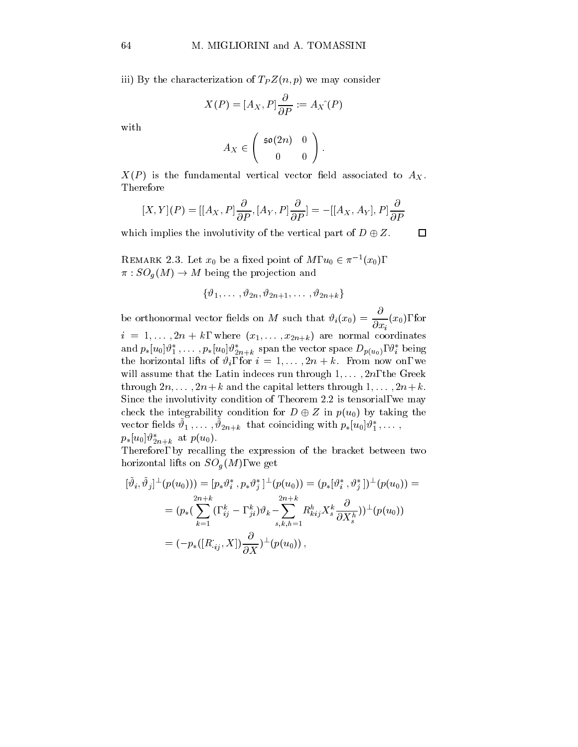iii) by the characterization of  $\mathcal{L}$  and  $\mathcal{L}$  we may consider  $\mathcal{L}$ 

$$
X(P) = [A_X, P] \frac{\partial}{\partial P} := A_X \hat{P}
$$

with

$$
A_X \in \left( \begin{array}{cc} \mathfrak{so}(2n) & 0 \\ 0 & 0 \end{array} \right).
$$

 $X(P)$  is the fundamental vertical vector field associated to  $A_X$ . Therefore

$$
[X,Y](P) = [[A_X, P]\frac{\partial}{\partial P}, [A_Y, P]\frac{\partial}{\partial P}] = -[[A_X, A_Y], P]\frac{\partial}{\partial P}
$$

which implies the involutivity of the vertical part of  $D \oplus Z$ .  $\Box$ 

REMARK 2.3. Let  $x_0$  be a fixed point of M,  $u_0 \in \pi^{-1}(x_0)$ ,  $\pi : SO_a(M) \to M$  being the projection and

$$
\{\vartheta_1,\ldots\,,\vartheta_{2n},\vartheta_{2n+1},\ldots\,,\vartheta_{2n+k}\}
$$

be orthonormal vector fields on M such that  $\vartheta_i(x_0) = \frac{1}{\partial x_i}(x_0)$ , for i and  $\tau$  is the set of  $\tau$  in the set of  $\tau$  are normal coordinates of  $\tau$  are normal coordinates of  $\tau$ and  $p_* [u_0] v_1$  ,  $\dots$  ,  $p_* [u_0] v_{2n+k}$  span the vector space  $D_{p(u_0)},$   $v_i$  being the horizontal lifts of  $\vartheta_i$ , for  $i = 1, \ldots, 2n + k$ . From now on, we will assume that the Latin indeces run through  $1, \ldots, 2n$ , the Greek through  $2n, \ldots, 2n+k$  and the capital letters through  $1, \ldots, 2n+k$ . Since the involutivity condition of Theorem 2.2 is tensorial, we may check the integrability condition for  $D \oplus Z$  in  $p(u_0)$  by taking the vector netas  $v_1, \ldots, v_{2n+k}$  that coinciding with  $p_*|u_0|v_1, \ldots$ ,  $p_*[u_0]v_{2n+k}$  at  $p(u_0)$ .

Therefore, by recalling the expression of the bracket between two  $\mathbf{h} = \mathbf{h} \mathbf{h}$ , we get  $\mathbf{h} = \mathbf{h}$ 

$$
[\tilde{\vartheta}_{i},\tilde{\vartheta}_{j}]^{\perp}(p(u_{0})))=[p_{*}\vartheta_{i}^{*},p_{*}\vartheta_{j}^{*}]^{\perp}(p(u_{0}))=(p_{*}[\vartheta_{i}^{*},\vartheta_{j}^{*}])^{\perp}(p(u_{0}))=\\ = (p_{*}(\sum_{k=1}^{2n+k}(\ ,_{ij}^{k}-\ ,_{ji}^{k})\vartheta_{k}-\sum_{s,k,h=1}^{2n+k}R_{kij}^{h}X_{s}^{k}\frac{\partial}{\partial X_{s}^{h}}))^{\perp}(p(u_{0}))\\ =(-p_{*}([R_{.ij},X])\frac{\partial}{\partial X})^{\perp}(p(u_{0}))\,,
$$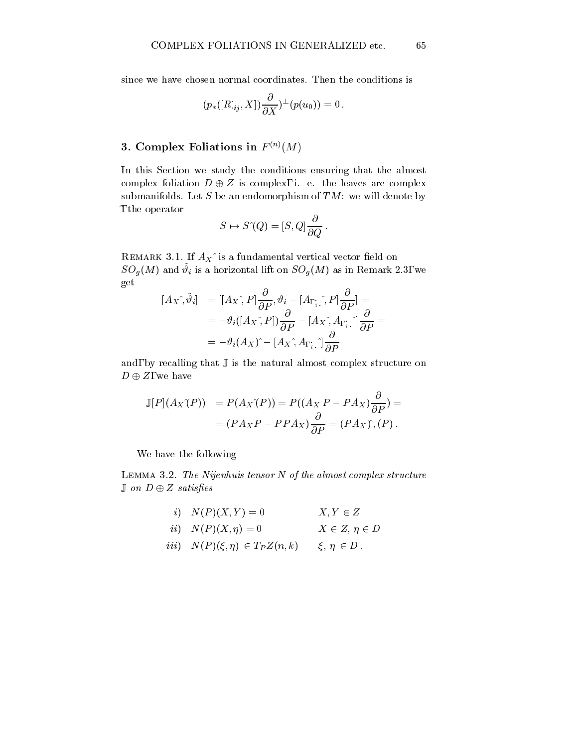since we have chosen normal coordinates. Then the conditions is

$$
(p_*([R_{\cdot ij},X])\frac{\partial}{\partial X})^\perp(p(u_0))=0\,.
$$

## 3. Complex Foliations in  $F^{(n)}(M)$

In this Section we study the conditions ensuring that the almost complex foliation  $D \oplus Z$  is complex, i. e. the leaves are complex submanifolds. Let  $S$  be an endomorphism of  $TM$ : we will denote by ^, the operator

$$
S \mapsto S^{\gamma}(Q) = [S, Q] \frac{\partial}{\partial Q}.
$$

REMARK 3.1. If  $A_X$ <sup> $\hat{ }$ </sup> is a fundamental vertical vector field on  $SOq(M)$  and  $v_i$  is a horizontal lift on  $SOq(M)$  as in Remark 2.3, we get

$$
[A_X \hat{,} \tilde{\vartheta}_i] = [[A_X \hat{,} P] \frac{\partial}{\partial P}, \vartheta_i - [A_{\Gamma_i} \hat{,} P] \frac{\partial}{\partial P}] =
$$
  

$$
= -\vartheta_i ([A_X \hat{,} P]) \frac{\partial}{\partial P} - [A_X \hat{,} A_{\Gamma_i} \hat{,}] \frac{\partial}{\partial P} =
$$
  

$$
= -\vartheta_i (A_X) \hat{,} - [A_X \hat{,} A_{\Gamma_i} \hat{,}] \frac{\partial}{\partial P}
$$

and, by recalling that  $\mathbb J$  is the natural almost complex structure on  $D \oplus Z$ , we have

$$
\mathbb{J}[P](A_X \hat{\;} (P)) = P(A_X \hat{\;} (P)) = P((A_X P - P A_X) \frac{\partial}{\partial P}) =
$$

$$
= (P A_X P - P P A_X) \frac{\partial}{\partial P} = (P A_X \hat{\;} (P).
$$

We have the following

Lemma 3.2. The Nijenhuis tensor N of the almost complex structure  $J$  on  $D \oplus Z$  satisfies

$$
i) \quad N(P)(X,Y) = 0 \qquad X, Y \in Z
$$

$$
ii) \quad N(P)(X, \eta) = 0 \qquad X \in Z, \, \eta \in D
$$

$$
iii) \quad N(P)(\xi, \eta) \in T_P Z(n, k) \qquad \xi, \eta \in D \, .
$$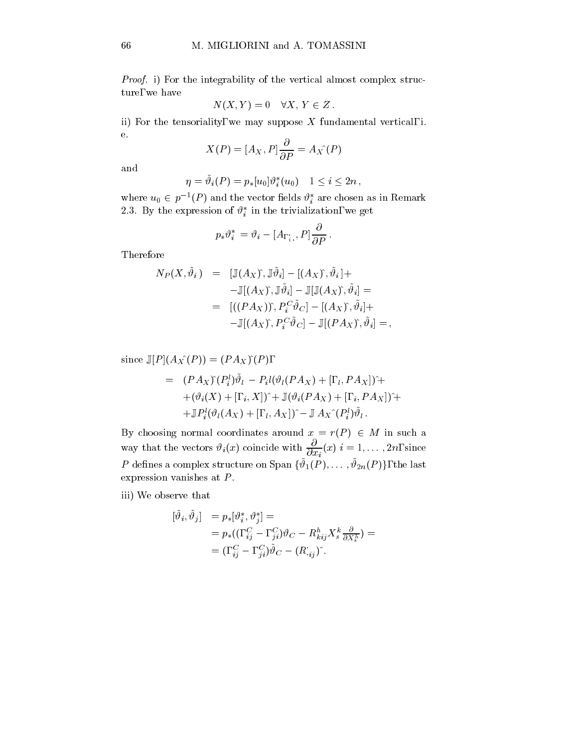Proof. i) For the integrability of the vertical almost complex structure, we have

$$
N(X,Y) = 0 \quad \forall X, Y \in Z.
$$

ii) For the tensoriality, we may suppose  $X$  fundamental vertical, i. e.

$$
X(P) = [A_X, P]\frac{\partial}{\partial P} = A_X(P)
$$

and

$$
\eta = \tilde{\vartheta}_i(P) = p_*[u_0] \vartheta_i^*(u_0) \quad 1 \leq i \leq 2n \,,
$$

where  $u_0 \in p^{-1}(P)$  and the vector fields  $\vartheta_i^*$  are chosen as in Remark 2.3. By the expression of  $\vartheta_i^*$  in the trivialization, we get

$$
p_*\vartheta_i^* \, = \vartheta_i - [A_{\Gamma_i^*},P]\frac{\partial}{\partial P}\,.
$$

Therefore

$$
N_P(X, \tilde{\vartheta}_i) = [\mathbb{J}(A_X), \mathbb{J}\tilde{\vartheta}_i] - [(A_X), \tilde{\vartheta}_i] +
$$
  

$$
- \mathbb{J}[(A_X), \mathbb{J}\tilde{\vartheta}_i] - \mathbb{J}[\mathbb{J}(A_X), \tilde{\vartheta}_i] =
$$
  

$$
= [((PA_X)), P_i^C \tilde{\vartheta}_C] - [(A_X), \tilde{\vartheta}_i] +
$$
  

$$
- \mathbb{J}[(A_X), P_i^C \tilde{\vartheta}_C] - \mathbb{J}[(PA_X), \tilde{\vartheta}_i] = ,
$$

since J[P ](AX^(P )) = (P AX )^(P ),

$$
= (PA_X)^{*}(P_i^l)\tilde{\vartheta}_l - P_i l(\vartheta_l(PA_X) + [, l, PA_X])^+ + (\vartheta_i(X) + [, l, X])^* + \mathbb{J}(\vartheta_i(PA_X) + [, l, PA_X])^+ + \mathbb{J}P_i^l(\vartheta_l(A_X) + [, l, A_X]) - \mathbb{J}A_X^{*}(P_i^l)\tilde{\vartheta}_l.
$$

By choosing normal coordinates around  $x = r(P) \in M$  in such a way that the vectors  $v_i(x)$  coincide with  $\frac{1}{\partial x_i}(x)$   $i = 1,\ldots, 2n$ , since  $P$  defines a complex structure on Span  $\{\vartheta_1(P),\ldots,\vartheta_{2n}(P)\},$  the last expression vanishes at  $P$ .

iii) We observe that

$$
\begin{array}{llll} [\tilde{\vartheta}_i,\tilde{\vartheta}_j]&=p_*[\vartheta_i^*,\vartheta_j^*]=\\&=p_*((,\begin{array}{l} C_i & C_j, \end{array}G_i)\vartheta_C-R_{kij}^hX_s^k\frac{\partial}{\partial X_s^h})=\\&=(,\begin{array}{l} C_i & C_j, \end{array}G_i)\tilde{\vartheta}_C-(R_{ij}^*)^*. \end{array}
$$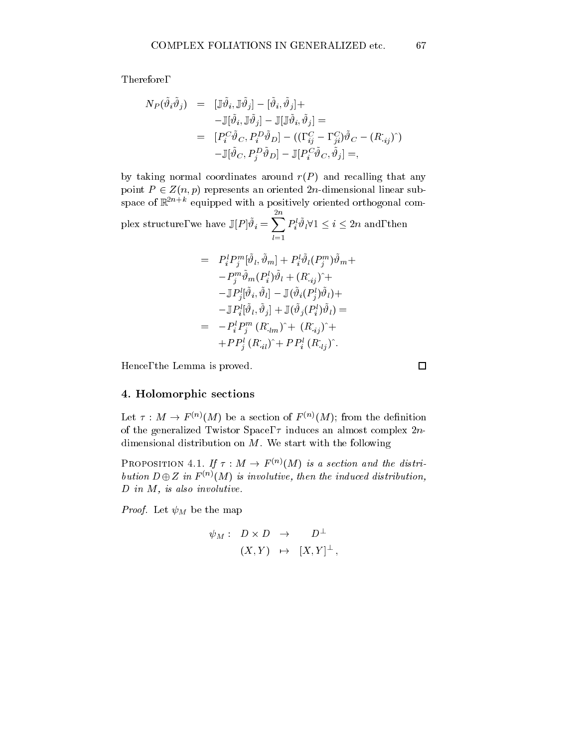Therefore,

$$
N_P(\tilde{\vartheta}_i \tilde{\vartheta}_j) = [\mathbb{J} \tilde{\vartheta}_i, \mathbb{J} \tilde{\vartheta}_j] - [\tilde{\vartheta}_i, \tilde{\vartheta}_j] +
$$
  
\n
$$
- \mathbb{J}[\tilde{\vartheta}_i, \mathbb{J} \tilde{\vartheta}_j] - \mathbb{J}[\mathbb{J} \tilde{\vartheta}_i, \tilde{\vartheta}_j] =
$$
  
\n
$$
= [P_i^C \tilde{\vartheta}_C, P_i^D \tilde{\vartheta}_D] - ((, \frac{C}{ij} - , \frac{C}{ji}) \tilde{\vartheta}_C - (R_{ij})^{\hat{}})]
$$
  
\n
$$
- \mathbb{J}[\tilde{\vartheta}_C, P_j^D \tilde{\vartheta}_D] - \mathbb{J}[P_i^C \tilde{\vartheta}_C, \tilde{\vartheta}_j] =,
$$

by taking normal coordinates around  $r(P)$  and recalling that any point  $P \in Z(n, p)$  represents an oriented 2n-dimensional linear subspace of  $\mathbb{R}^{2n+k}$  equipped with a positively oriented orthogonal com-

plex structure, we have  $\mathbb{J}[P]\tilde{\vartheta}_i = \sum_{i=1}^{n} P_i^l \tilde{\vartheta}_l \forall 1 \leq i \leq 2n$  and, then  $P_i^{\iota} \vartheta_l \forall 1 \leq i \leq 2n$  and, then

$$
= P_i^l P_j^m [\tilde{\vartheta}_l, \tilde{\vartheta}_m] + P_i^l \tilde{\vartheta}_l (P_j^m) \tilde{\vartheta}_m +
$$
  
\n
$$
- P_j^m \tilde{\vartheta}_m (P_i^l) \tilde{\vartheta}_l + (R_{ij})^+ +
$$
  
\n
$$
- \mathbb{J} P_j^l [\tilde{\vartheta}_i, \tilde{\vartheta}_l] - \mathbb{J} (\tilde{\vartheta}_i (P_j^l) \tilde{\vartheta}_l) +
$$
  
\n
$$
- \mathbb{J} P_i^l [\tilde{\vartheta}_l, \tilde{\vartheta}_j] + \mathbb{J} (\tilde{\vartheta}_j (P_i^l) \tilde{\vartheta}_l) =
$$
  
\n
$$
= - P_i^l P_j^m (R_{ilm})^+ (R_{ij})^+ +
$$
  
\n
$$
+ P P_j^l (R_{il})^+ + P P_i^l (R_{lj})^+.
$$

Hence, the Lemma is proved.

 $\Box$ 

## 4. Holomorphic sections

Let  $\tau : M \to F^{(n)}(M)$  be a section of  $F^{(n)}(M)$ ; from the definition of the generalized Twistor Space,  $\tau$  induces an almost complex  $2n$ dimensional distribution on  $M$ . We start with the following

PROPOSITION 4.1. If  $\tau : M \to F^{(n)}(M)$  is a section and the distribution  $D \oplus Z$  in  $F^{(n)}(M)$  is involutive, then the induced distribution,  $D$  in  $M$ , is also involutive.

 $P$  and  $P$  are the map  $P$  and  $P$  are the map of  $P$  and  $P$  are the map of  $P$ 

$$
\begin{array}{cccc} \psi_M :& D \times D & \to & D^\perp \cr &(X,Y) & \mapsto & [X,Y]^\perp \, ,\end{array}
$$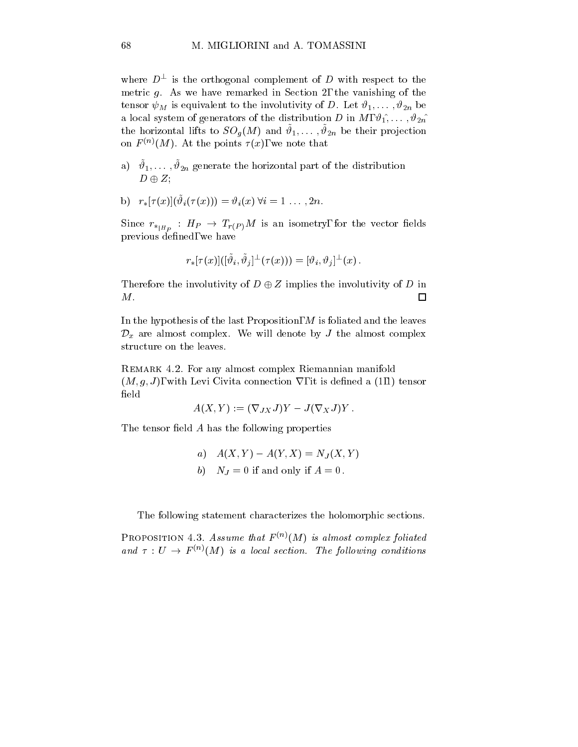where  $D^+$  is the orthogonal complement of  $D$  with respect to the metric  $g$ . As we have remarked in Section 2, the vanishing of the tensor  $\tau$  is equivalent to the involution  $\tau$  is  $\tau$  in  $\tau$  in  $\tau$  in  $\mu$  be in a local system of generators of the distribution D in M,  $\vartheta_1, \ldots, \vartheta_{2n}$ the horizontal lifts to  $SO_q(M)$  and  $v_1,\ldots,v_{2n}$  be their projection on  $F^{(n)}(M)$ . At the points  $\tau(x)$ , we note that

 $a)$   $v_1,\ldots,v_{2n}$  generate the horizontal part of the distribution  $D \oplus Z$ ;

b) 
$$
r_*[\tau(x)](\tilde{\vartheta}_i(\tau(x))) = \vartheta_i(x) \forall i = 1 \ldots, 2n.
$$

Since  $r_{*_{|H_P}}: H_P \rightarrow T_{r(P)}M$  is an isometry, for the vector fields previous defined, we have

$$
r_*[\tau(x)]([\tilde{\vartheta}_i,\tilde{\vartheta}_j]^\perp(\tau(x)))=[\vartheta_i,\vartheta_j]^\perp(x)\,.
$$

Therefore the involutivity of  $D \oplus Z$  implies the involutivity of D in M.  $\Box$ 

In the hypothesis of the last Proposition,  $M$  is foliated and the leaves  $\mathcal{D}_x$  are almost complex. We will denote by J the almost complex structure on the leaves.

REMARK 4.2. For any almost complex Riemannian manifold  $(M, g, J)$ , with Levi Civita connection  $\nabla$ , it is defined a (1,1) tensor field

$$
A(X,Y) := (\nabla_{JX} J)Y - J(\nabla_X J)Y.
$$

The tensor field  $A$  has the following properties

a) 
$$
A(X, Y) - A(Y, X) = N_J(X, Y)
$$
  
b) 
$$
N_J = 0
$$
 if and only if  $A = 0$ .

The following statement characterizes the holomorphic sections.

PROPOSITION 4.3. Assume that  $F^{(n)}(M)$  is almost complex foliated and  $\tau:U \to F^{(n)}(M)$  is a local section. The following conditions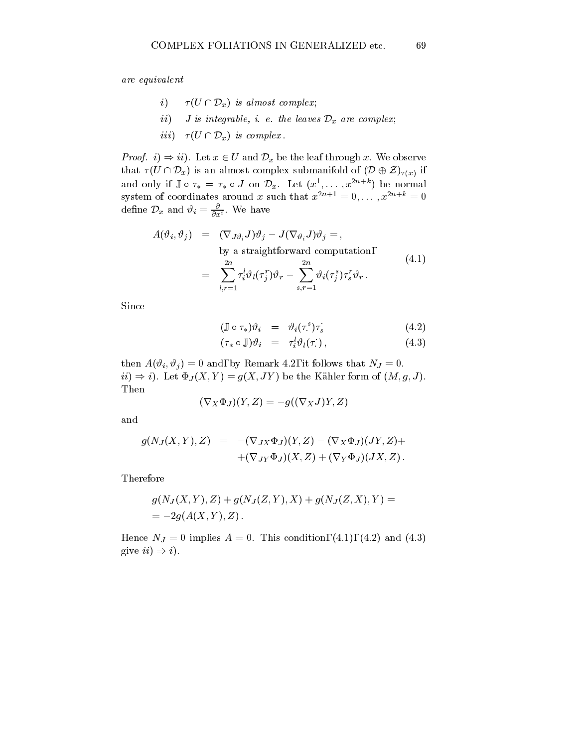are equivalent

- i)  $\tau(U \cap \mathcal{D}_x)$  is almost complex;
- ii) J is integrable, i. e. the leaves  $\mathcal{D}_x$  are complex;
- iii)  $\tau(U \cap \mathcal{D}_x)$  is complex.

*Proof.*  $i) \Rightarrow ii$ ). Let  $x \in U$  and  $\mathcal{D}_x$  be the leaf through x. We observe that  $\tau(U \cap \mathcal{D}_x)$  is an almost complex submanifold of  $(\mathcal{D} \oplus \mathcal{Z})_{\tau(x)}$  if and only if  $\mathbb{J} \circ \tau_* = \tau_* \circ J$  on  $\mathcal{D}_x$ . Let  $(x^1, \ldots, x^{2n+k})$  be normal system of coordinates around x such that  $x^{2n+1} = 0, \ldots, x^{2n+k} = 0$ define  $\mathcal{D}_x$  and  $\vartheta_i = \frac{\partial}{\partial x^i}$ . We have

$$
A(\vartheta_i, \vartheta_j) = (\nabla_{J\vartheta_i} J)\vartheta_j - J(\nabla_{\vartheta_i} J)\vartheta_j = ,
$$
  
by a straightforward computation,  

$$
= \sum_{l,r=1}^{2n} \tau_i^l \vartheta_l(\tau_j^r) \vartheta_r - \sum_{s,r=1}^{2n} \vartheta_i(\tau_j^s) \tau_s^r \vartheta_r .
$$
 (4.1)

Since

$$
(\mathbb{J} \circ \tau_*) \vartheta_i = \vartheta_i(\tau^s) \tau_s \tag{4.2}
$$

$$
(\tau_* \circ \mathbb{J}) \vartheta_i = \tau_i^l \vartheta_l(\tau), \qquad (4.3)
$$

then A( iii) and, by Remark 4.2, it follows that  $\mathcal{A}$  is follows that NJ  $\mathcal{A}$  is follows that NJ  $\mathcal{A}$  is follows that NJ  $\mathcal{A}$  is follows that NJ  $\mathcal{A}$  is follows that NJ  $\mathcal{A}$  is follows that NJ  $\mathcal$  $ii) \Rightarrow i$ . Let  $\Psi_J (X, Y) = g(X, JY)$  be the Kahler form of  $(M, g, J)$ . Then

$$
(\nabla_X\Phi_J)(Y,Z)=-g((\nabla_XJ)Y,Z)
$$

and

$$
g(N_J(X,Y),Z) = -(\nabla_{JX} \Phi_J)(Y,Z) - (\nabla_X \Phi_J)(JY,Z) ++(\nabla_{JY} \Phi_J)(X,Z) + (\nabla_Y \Phi_J)(JX,Z).
$$

Therefore

$$
g(N_J(X, Y), Z) + g(N_J(Z, Y), X) + g(N_J(Z, X), Y) =
$$
  
= -2g(A(X, Y), Z).

Hence NJ = 0 implies <sup>A</sup> = 0. This condition, (4.1), (4.2) and (4.3) give  $ii) \Rightarrow i$ .